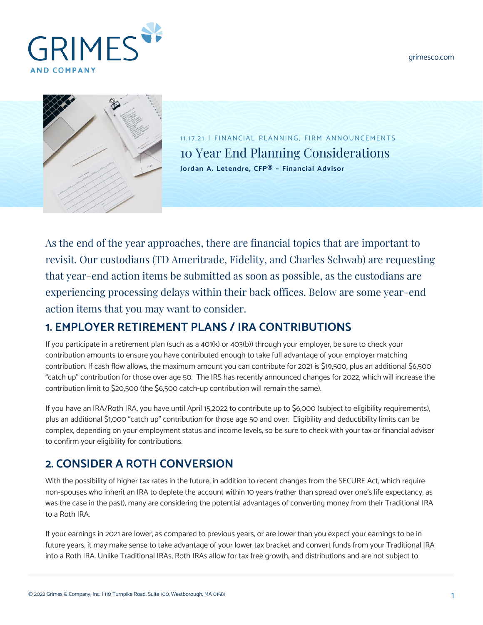[grimesco.com](https://www.grimesco.com)





11.17.21 | FINANCIAL PLANNING, FIRM ANNOUNCEMENTS 10 Year End Planning Considerations **[Jordan A. Letendre, CFP® – Financial Advisor](https://www.grimesco.com/team-member/jordan-a-letendre-cfp/)**

As the end of the year approaches, there are financial topics that are important to revisit. Our custodians (TD Ameritrade, Fidelity, and Charles Schwab) are requesting that year-end action items be submitted as soon as possible, as the custodians are experiencing processing delays within their back offices. Below are some year-end action items that you may want to consider.

# **1. EMPLOYER RETIREMENT PLANS / IRA CONTRIBUTIONS**

If you participate in a retirement plan (such as a 401(k) or 403(b)) through your employer, be sure to check your contribution amounts to ensure you have contributed enough to take full advantage of your employer matching contribution. If cash flow allows, the maximum amount you can contribute for 2021 is \$19,500, plus an additional \$6,500 "catch up" contribution for those over age 50. The IRS has recently announced changes for 2022, which will increase the contribution limit to \$20,500 (the \$6,500 catch-up contribution will remain the same).

If you have an IRA/Roth IRA, you have until April 15,2022 to contribute up to \$6,000 (subject to eligibility requirements), plus an additional \$1,000 "catch up" contribution for those age 50 and over. Eligibility and deductibility limits can be complex, depending on your employment status and income levels, so be sure to check with your tax or financial advisor to confirm your eligibility for contributions.

# **2. CONSIDER A ROTH CONVERSION**

With the possibility of higher tax rates in the future, in addition to recent changes from the SECURE Act, which require non-spouses who inherit an IRA to deplete the account within 10 years (rather than spread over one's life expectancy, as was the case in the past), many are considering the potential advantages of converting money from their Traditional IRA to a Roth IRA.

If your earnings in 2021 are lower, as compared to previous years, or are lower than you expect your earnings to be in future years, it may make sense to take advantage of your lower tax bracket and convert funds from your Traditional IRA into a Roth IRA. Unlike Traditional IRAs, Roth IRAs allow for tax free growth, and distributions and are not subject to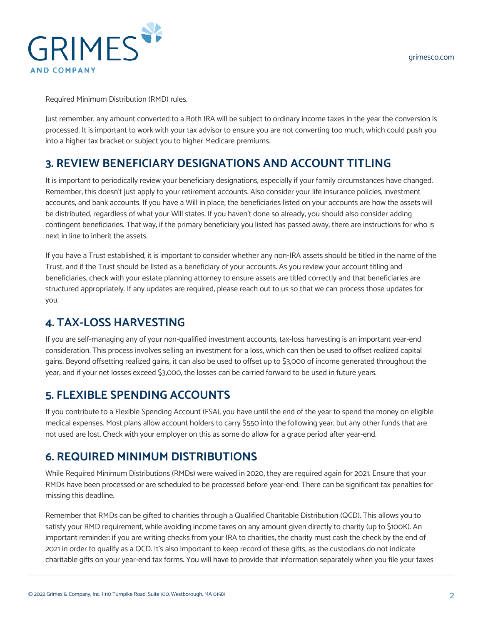

Required Minimum Distribution (RMD) rules.

Just remember, any amount converted to a Roth IRA will be subject to ordinary income taxes in the year the conversion is processed. It is important to work with your tax advisor to ensure you are not converting too much, which could push you into a higher tax bracket or subject you to higher Medicare premiums.

### **3. REVIEW BENEFICIARY DESIGNATIONS AND ACCOUNT TITLING**

It is important to periodically review your beneficiary designations, especially if your family circumstances have changed. Remember, this doesn't just apply to your retirement accounts. Also consider your life insurance policies, investment accounts, and bank accounts. If you have a Will in place, the beneficiaries listed on your accounts are how the assets will be distributed, regardless of what your Will states. If you haven't done so already, you should also consider adding contingent beneficiaries. That way, if the primary beneficiary you listed has passed away, there are instructions for who is next in line to inherit the assets.

If you have a Trust established, it is important to consider whether any non-IRA assets should be titled in the name of the Trust, and if the Trust should be listed as a beneficiary of your accounts. As you review your account titling and beneficiaries, check with your estate planning attorney to ensure assets are titled correctly and that beneficiaries are structured appropriately. If any updates are required, please reach out to us so that we can process those updates for you.

# **4. TAX-LOSS HARVESTING**

If you are self-managing any of your non-qualified investment accounts, tax-loss harvesting is an important year-end consideration. This process involves selling an investment for a loss, which can then be used to offset realized capital gains. Beyond offsetting realized gains, it can also be used to offset up to \$3,000 of income generated throughout the year, and if your net losses exceed \$3,000, the losses can be carried forward to be used in future years.

### **5. FLEXIBLE SPENDING ACCOUNTS**

If you contribute to a Flexible Spending Account (FSA), you have until the end of the year to spend the money on eligible medical expenses. Most plans allow account holders to carry \$550 into the following year, but any other funds that are not used are lost. Check with your employer on this as some do allow for a grace period after year-end.

### **6. REQUIRED MINIMUM DISTRIBUTIONS**

While Required Minimum Distributions (RMDs) were waived in 2020, they are required again for 2021. Ensure that your RMDs have been processed or are scheduled to be processed before year-end. There can be significant tax penalties for missing this deadline.

Remember that RMDs can be gifted to charities through a Qualified Charitable Distribution (QCD). This allows you to satisfy your RMD requirement, while avoiding income taxes on any amount given directly to charity (up to \$100K). An important reminder: if you are writing checks from your IRA to charities, the charity must cash the check by the end of 2021 in order to qualify as a QCD. It's also important to keep record of these gifts, as the custodians do not indicate charitable gifts on your year-end tax forms. You will have to provide that information separately when you file your taxes